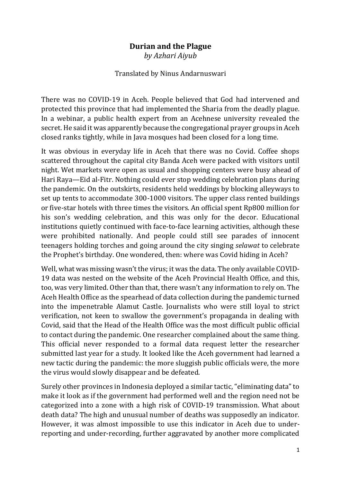## **Durian and the Plague**

*by Azhari Aiyub*

## Translated by Ninus Andarnuswari

There was no COVID-19 in Aceh. People believed that God had intervened and protected this province that had implemented the Sharia from the deadly plague. In a webinar, a public health expert from an Acehnese university revealed the secret. He said it was apparently because the congregational prayer groups in Aceh closed ranks tightly, while in Java mosques had been closed for a long time.

It was obvious in everyday life in Aceh that there was no Covid. Coffee shops scattered throughout the capital city Banda Aceh were packed with visitors until night. Wet markets were open as usual and shopping centers were busy ahead of Hari Raya—Eid al-Fitr. Nothing could ever stop wedding celebration plans during the pandemic. On the outskirts, residents held weddings by blocking alleyways to set up tents to accommodate 300-1000 visitors. The upper class rented buildings or five-star hotels with three times the visitors. An official spent Rp800 million for his son's wedding celebration, and this was only for the decor. Educational institutions quietly continued with face-to-face learning activities, although these were prohibited nationally. And people could still see parades of innocent teenagers holding torches and going around the city singing *selawat* to celebrate the Prophet's birthday. One wondered, then: where was Covid hiding in Aceh?

Well, what was missing wasn't the virus; it was the data. The only available COVID-19 data was nested on the website of the Aceh Provincial Health Office, and this, too, was very limited. Other than that, there wasn't any information to rely on. The Aceh Health Office as the spearhead of data collection during the pandemic turned into the impenetrable Alamut Castle. Journalists who were still loyal to strict verification, not keen to swallow the government's propaganda in dealing with Covid, said that the Head of the Health Office was the most difficult public official to contact during the pandemic. One researcher complained about the same thing. This official never responded to a formal data request letter the researcher submitted last year for a study. It looked like the Aceh government had learned a new tactic during the pandemic: the more sluggish public officials were, the more the virus would slowly disappear and be defeated.

Surely other provinces in Indonesia deployed a similar tactic, "eliminating data" to make it look as if the government had performed well and the region need not be categorized into a zone with a high risk of COVID-19 transmission. What about death data? The high and unusual number of deaths was supposedly an indicator. However, it was almost impossible to use this indicator in Aceh due to underreporting and under-recording, further aggravated by another more complicated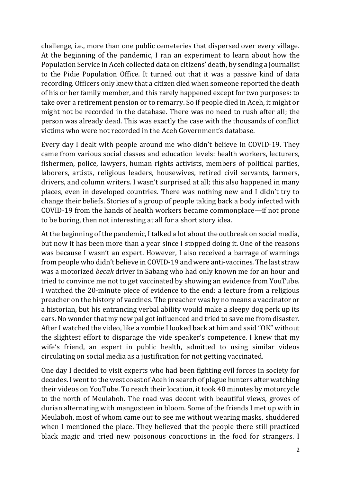challenge, i.e., more than one public cemeteries that dispersed over every village. At the beginning of the pandemic, I ran an experiment to learn about how the Population Service in Aceh collected data on citizens' death, by sending a journalist to the Pidie Population Office. It turned out that it was a passive kind of data recording. Officers only knew that a citizen died when someone reported the death of his or her family member, and this rarely happened except for two purposes: to take over a retirement pension or to remarry. So if people died in Aceh, it might or might not be recorded in the database. There was no need to rush after all; the person was already dead. This was exactly the case with the thousands of conflict victims who were not recorded in the Aceh Government's database.

Every day I dealt with people around me who didn't believe in COVID-19. They came from various social classes and education levels: health workers, lecturers, fishermen, police, lawyers, human rights activists, members of political parties, laborers, artists, religious leaders, housewives, retired civil servants, farmers, drivers, and column writers. I wasn't surprised at all; this also happened in many places, even in developed countries. There was nothing new and I didn't try to change their beliefs. Stories of a group of people taking back a body infected with COVID-19 from the hands of health workers became commonplace—if not prone to be boring, then not interesting at all for a short story idea.

At the beginning of the pandemic, I talked a lot about the outbreak on social media, but now it has been more than a year since I stopped doing it. One of the reasons was because I wasn't an expert. However, I also received a barrage of warnings from people who didn't believe in COVID-19 and were anti-vaccines. The last straw was a motorized *becak* driver in Sabang who had only known me for an hour and tried to convince me not to get vaccinated by showing an evidence from YouTube. I watched the 20-minute piece of evidence to the end: a lecture from a religious preacher on the history of vaccines. The preacher was by no means a vaccinator or a historian, but his entrancing verbal ability would make a sleepy dog perk up its ears. No wonder that my new pal got influenced and tried to save me from disaster. After I watched the video, like a zombie I looked back at him and said "OK" without the slightest effort to disparage the vide speaker's competence. I knew that my wife's friend, an expert in public health, admitted to using similar videos circulating on social media as a justification for not getting vaccinated.

One day I decided to visit experts who had been fighting evil forces in society for decades. I went to the west coast of Aceh in search of plague hunters after watching their videos on YouTube. To reach their location, it took 40 minutes by motorcycle to the north of Meulaboh. The road was decent with beautiful views, groves of durian alternating with mangosteen in bloom. Some of the friends I met up with in Meulaboh, most of whom came out to see me without wearing masks, shuddered when I mentioned the place. They believed that the people there still practiced black magic and tried new poisonous concoctions in the food for strangers. I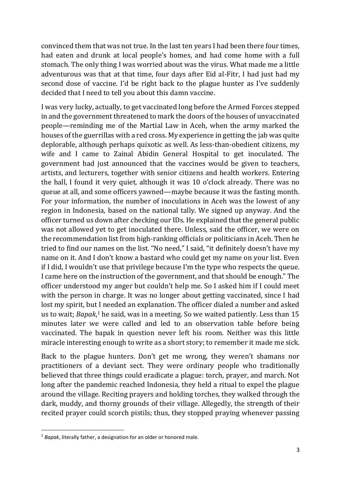convinced them that was not true. In the last ten years I had been there four times, had eaten and drunk at local people's homes, and had come home with a full stomach. The only thing I was worried about was the virus. What made me a little adventurous was that at that time, four days after Eid al-Fitr, I had just had my second dose of vaccine. I'd be right back to the plague hunter as I've suddenly decided that I need to tell you about this damn vaccine.

I was very lucky, actually, to get vaccinated long before the Armed Forces stepped in and the government threatened to mark the doors of the houses of unvaccinated people—reminding me of the Martial Law in Aceh, when the army marked the houses of the guerrillas with a red cross. My experience in getting the jab was quite deplorable, although perhaps quixotic as well. As less-than-obedient citizens, my wife and I came to Zainal Abidin General Hospital to get inoculated. The government had just announced that the vaccines would be given to teachers, artists, and lecturers, together with senior citizens and health workers. Entering the hall, I found it very quiet, although it was 10 o'clock already. There was no queue at all, and some officers yawned—maybe because it was the fasting month. For your information, the number of inoculations in Aceh was the lowest of any region in Indonesia, based on the national tally. We signed up anyway. And the officer turned us down after checking our IDs. He explained that the general public was not allowed yet to get inoculated there. Unless, said the officer, we were on the recommendation list from high-ranking officials or politicians in Aceh. Then he tried to find our names on the list. "No need," I said, "it definitely doesn't have my name on it. And I don't know a bastard who could get my name on your list. Even if I did, I wouldn't use that privilege because I'm the type who respects the queue. I came here on the instruction of the government, and that should be enough." The officer understood my anger but couldn't help me. So I asked him if I could meet with the person in charge. It was no longer about getting vaccinated, since I had lost my spirit, but I needed an explanation. The officer dialed a number and asked us to wait; *Bapak*, <sup>1</sup> he said, was in a meeting. So we waited patiently. Less than 15 minutes later we were called and led to an observation table before being vaccinated. The bapak in question never left his room. Neither was this little miracle interesting enough to write as a short story; to remember it made me sick.

Back to the plague hunters. Don't get me wrong, they weren't shamans nor practitioners of a deviant sect. They were ordinary people who traditionally believed that three things could eradicate a plague: torch, prayer, and march. Not long after the pandemic reached Indonesia, they held a ritual to expel the plague around the village. Reciting prayers and holding torches, they walked through the dark, muddy, and thorny grounds of their village. Allegedly, the strength of their recited prayer could scorch pistils; thus, they stopped praying whenever passing

**.** 

<sup>1</sup> *Bapak*, literally father, a designation for an older or honored male.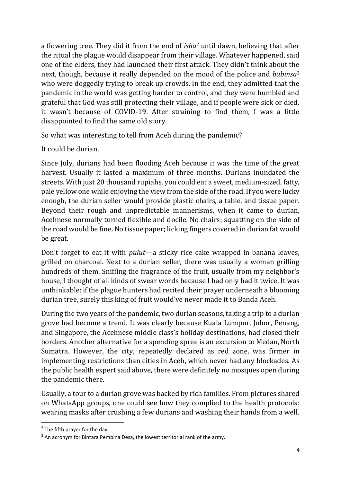a flowering tree. They did it from the end of *isha*<sup>2</sup> until dawn, believing that after the ritual the plague would disappear from their village. Whatever happened, said one of the elders, they had launched their first attack. They didn't think about the next, though, because it really depended on the mood of the police and *babinsa*<sup>3</sup> who were doggedly trying to break up crowds. In the end, they admitted that the pandemic in the world was getting harder to control, and they were humbled and grateful that God was still protecting their village, and if people were sick or died, it wasn't because of COVID-19. After straining to find them, I was a little disappointed to find the same old story.

So what was interesting to tell from Aceh during the pandemic?

It could be durian.

Since July, durians had been flooding Aceh because it was the time of the great harvest. Usually it lasted a maximum of three months. Durians inundated the streets. With just 20 thousand rupiahs, you could eat a sweet, medium-sized, fatty, pale yellow one while enjoying the view from the side of the road. If you were lucky enough, the durian seller would provide plastic chairs, a table, and tissue paper. Beyond their rough and unpredictable mannerisms, when it came to durian, Acehnese normally turned flexible and docile. No chairs; squatting on the side of the road would be fine. No tissue paper; licking fingers covered in durian fat would be great.

Don't forget to eat it with *pulut*—a sticky rice cake wrapped in banana leaves, grilled on charcoal. Next to a durian seller, there was usually a woman grilling hundreds of them. Sniffing the fragrance of the fruit, usually from my neighbor's house, I thought of all kinds of swear words because I had only had it twice. It was unthinkable: if the plague hunters had recited their prayer underneath a blooming durian tree, surely this king of fruit would've never made it to Banda Aceh.

During the two years of the pandemic, two durian seasons, taking a trip to a durian grove had become a trend. It was clearly because Kuala Lumpur, Johor, Penang, and Singapore, the Acehnese middle class's holiday destinations, had closed their borders. Another alternative for a spending spree is an excursion to Medan, North Sumatra. However, the city, repeatedly declared as red zone, was firmer in implementing restrictions than cities in Aceh, which never had any blockades. As the public health expert said above, there were definitely no mosques open during the pandemic there.

Usually, a tour to a durian grove was backed by rich families. From pictures shared on WhatsApp groups, one could see how they complied to the health protocols: wearing masks after crushing a few durians and washing their hands from a well.

**.** 

 $2$  The fifth prayer for the day.

 $3$  An acronym for Bintara Pembina Desa, the lowest territorial rank of the army.